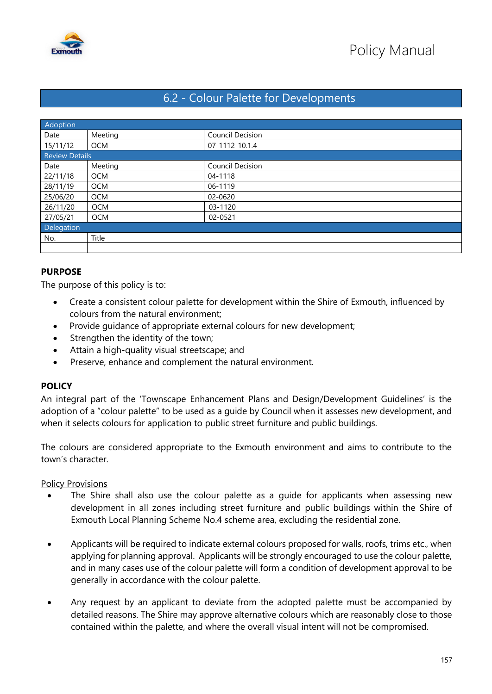

## 6.2 - Colour Palette for Developments

| Adoption              |            |                  |
|-----------------------|------------|------------------|
| Date                  | Meeting    | Council Decision |
| 15/11/12              | <b>OCM</b> | 07-1112-10.1.4   |
| <b>Review Details</b> |            |                  |
| Date                  | Meeting    | Council Decision |
| 22/11/18              | <b>OCM</b> | 04-1118          |
| 28/11/19              | <b>OCM</b> | 06-1119          |
| 25/06/20              | <b>OCM</b> | 02-0620          |
| 26/11/20              | <b>OCM</b> | 03-1120          |
| 27/05/21              | <b>OCM</b> | 02-0521          |
| Delegation            |            |                  |
| No.                   | Title      |                  |
|                       |            |                  |

#### **PURPOSE**

The purpose of this policy is to:

- Create a consistent colour palette for development within the Shire of Exmouth, influenced by colours from the natural environment;
- Provide guidance of appropriate external colours for new development;
- Strengthen the identity of the town;
- Attain a high-quality visual streetscape; and
- Preserve, enhance and complement the natural environment.

#### **POLICY**

An integral part of the 'Townscape Enhancement Plans and Design/Development Guidelines' is the adoption of a "colour palette" to be used as a guide by Council when it assesses new development, and when it selects colours for application to public street furniture and public buildings.

The colours are considered appropriate to the Exmouth environment and aims to contribute to the town's character.

#### Policy Provisions

- The Shire shall also use the colour palette as a quide for applicants when assessing new development in all zones including street furniture and public buildings within the Shire of Exmouth Local Planning Scheme No.4 scheme area, excluding the residential zone.
- Applicants will be required to indicate external colours proposed for walls, roofs, trims etc., when applying for planning approval. Applicants will be strongly encouraged to use the colour palette, and in many cases use of the colour palette will form a condition of development approval to be generally in accordance with the colour palette.
- Any request by an applicant to deviate from the adopted palette must be accompanied by detailed reasons. The Shire may approve alternative colours which are reasonably close to those contained within the palette, and where the overall visual intent will not be compromised.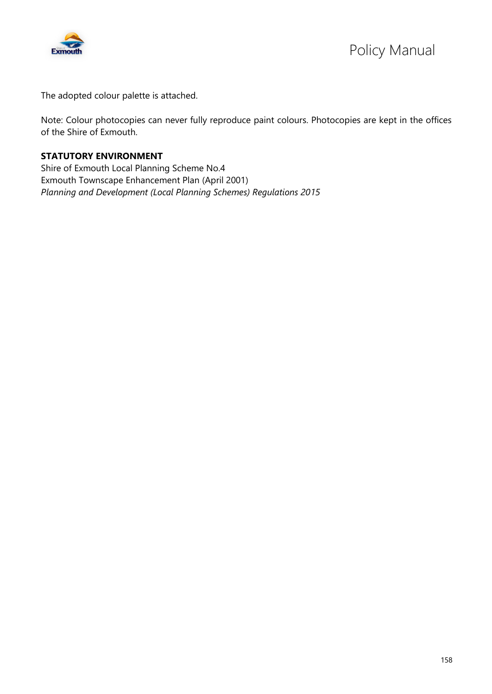

The adopted colour palette is attached.

Note: Colour photocopies can never fully reproduce paint colours. Photocopies are kept in the offices of the Shire of Exmouth.

### **STATUTORY ENVIRONMENT**

Shire of Exmouth Local Planning Scheme No.4 Exmouth Townscape Enhancement Plan (April 2001) *Planning and Development (Local Planning Schemes) Regulations 2015*